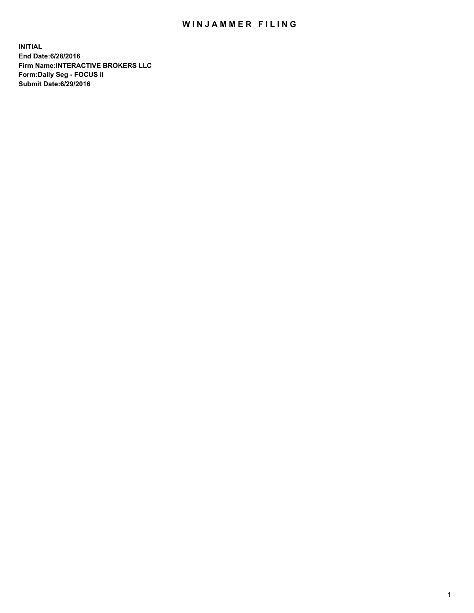## WIN JAMMER FILING

**INITIAL End Date:6/28/2016 Firm Name:INTERACTIVE BROKERS LLC Form:Daily Seg - FOCUS II Submit Date:6/29/2016**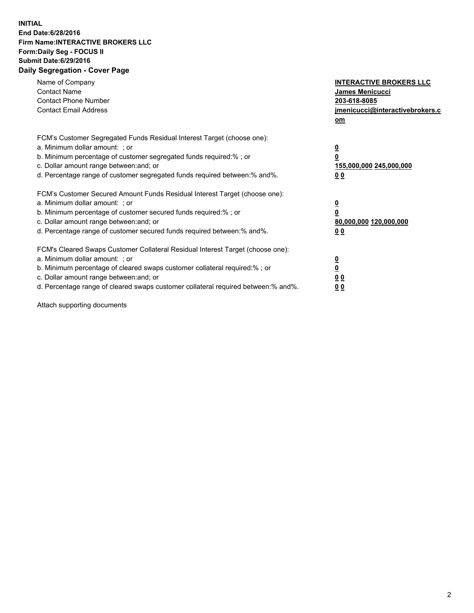## **INITIAL End Date:6/28/2016 Firm Name:INTERACTIVE BROKERS LLC Form:Daily Seg - FOCUS II Submit Date:6/29/2016 Daily Segregation - Cover Page**

| Name of Company<br><b>Contact Name</b><br><b>Contact Phone Number</b><br><b>Contact Email Address</b>                                                                                                                                                                                                                          | <b>INTERACTIVE BROKERS LLC</b><br>James Menicucci<br>203-618-8085<br>jmenicucci@interactivebrokers.c<br>om |
|--------------------------------------------------------------------------------------------------------------------------------------------------------------------------------------------------------------------------------------------------------------------------------------------------------------------------------|------------------------------------------------------------------------------------------------------------|
| FCM's Customer Segregated Funds Residual Interest Target (choose one):<br>a. Minimum dollar amount: ; or<br>b. Minimum percentage of customer segregated funds required:%; or<br>c. Dollar amount range between: and; or<br>d. Percentage range of customer segregated funds required between:% and%.                          | $\overline{\mathbf{0}}$<br>0<br>155,000,000 245,000,000<br>0 <sub>0</sub>                                  |
| FCM's Customer Secured Amount Funds Residual Interest Target (choose one):<br>a. Minimum dollar amount: ; or<br>b. Minimum percentage of customer secured funds required:%; or<br>c. Dollar amount range between: and; or<br>d. Percentage range of customer secured funds required between:% and%.                            | $\overline{\mathbf{0}}$<br>$\overline{\mathbf{0}}$<br>80,000,000 120,000,000<br>00                         |
| FCM's Cleared Swaps Customer Collateral Residual Interest Target (choose one):<br>a. Minimum dollar amount: ; or<br>b. Minimum percentage of cleared swaps customer collateral required:% ; or<br>c. Dollar amount range between: and; or<br>d. Percentage range of cleared swaps customer collateral required between:% and%. | $\overline{\mathbf{0}}$<br>$\overline{\mathbf{0}}$<br>0 <sub>0</sub><br><u>00</u>                          |

Attach supporting documents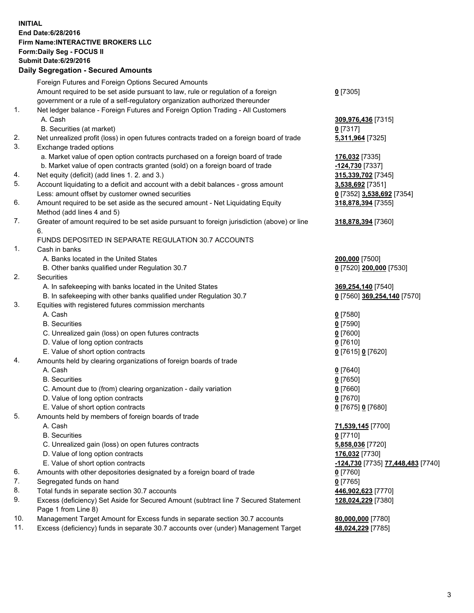## **INITIAL End Date:6/28/2016 Firm Name:INTERACTIVE BROKERS LLC Form:Daily Seg - FOCUS II Submit Date:6/29/2016 Daily Segregation - Secured Amounts**

|     | $-$ 0.000 $-$ 0.000 $-$ 0.000 $-$ 0.000 $-$ 0.000 $-$ 0.000 $-$ 0.000 $-$ 0.000 $-$ 0.000 $-$ 0.000 $-$ 0.000 $-$ 0.000 $-$ 0.000 $-$ 0.000 $-$ 0.000 $-$ 0.000 $-$ 0.000 $-$ 0.000 $-$ 0.000 $-$ 0.000 $-$ 0.000 $-$ 0.000 |                                   |
|-----|-----------------------------------------------------------------------------------------------------------------------------------------------------------------------------------------------------------------------------|-----------------------------------|
|     | Foreign Futures and Foreign Options Secured Amounts                                                                                                                                                                         |                                   |
|     | Amount required to be set aside pursuant to law, rule or regulation of a foreign                                                                                                                                            | $0$ [7305]                        |
|     | government or a rule of a self-regulatory organization authorized thereunder                                                                                                                                                |                                   |
| 1.  | Net ledger balance - Foreign Futures and Foreign Option Trading - All Customers                                                                                                                                             |                                   |
|     | A. Cash                                                                                                                                                                                                                     | 309,976,436 [7315]                |
|     | B. Securities (at market)                                                                                                                                                                                                   | $0$ [7317]                        |
| 2.  | Net unrealized profit (loss) in open futures contracts traded on a foreign board of trade                                                                                                                                   | 5,311,964 [7325]                  |
| 3.  | Exchange traded options                                                                                                                                                                                                     |                                   |
|     | a. Market value of open option contracts purchased on a foreign board of trade                                                                                                                                              | 176,032 [7335]                    |
|     | b. Market value of open contracts granted (sold) on a foreign board of trade                                                                                                                                                | <u>-124,730</u> [7337]            |
| 4.  | Net equity (deficit) (add lines 1.2. and 3.)                                                                                                                                                                                | 315,339,702 [7345]                |
| 5.  | Account liquidating to a deficit and account with a debit balances - gross amount                                                                                                                                           | 3,538,692 [7351]                  |
|     | Less: amount offset by customer owned securities                                                                                                                                                                            | 0 [7352] 3,538,692 [7354]         |
| 6.  | Amount required to be set aside as the secured amount - Net Liquidating Equity                                                                                                                                              | 318,878,394 [7355]                |
|     | Method (add lines 4 and 5)                                                                                                                                                                                                  |                                   |
| 7.  | Greater of amount required to be set aside pursuant to foreign jurisdiction (above) or line                                                                                                                                 | 318,878,394 [7360]                |
|     | 6.                                                                                                                                                                                                                          |                                   |
|     | FUNDS DEPOSITED IN SEPARATE REGULATION 30.7 ACCOUNTS                                                                                                                                                                        |                                   |
| 1.  | Cash in banks                                                                                                                                                                                                               |                                   |
|     | A. Banks located in the United States                                                                                                                                                                                       | 200,000 [7500]                    |
|     | B. Other banks qualified under Regulation 30.7                                                                                                                                                                              | 0 [7520] 200,000 [7530]           |
| 2.  | Securities                                                                                                                                                                                                                  |                                   |
|     | A. In safekeeping with banks located in the United States                                                                                                                                                                   | 369,254,140 [7540]                |
|     | B. In safekeeping with other banks qualified under Regulation 30.7                                                                                                                                                          | 0 [7560] 369,254,140 [7570]       |
| 3.  | Equities with registered futures commission merchants                                                                                                                                                                       |                                   |
|     | A. Cash                                                                                                                                                                                                                     | $0$ [7580]                        |
|     | <b>B.</b> Securities                                                                                                                                                                                                        | $0$ [7590]                        |
|     | C. Unrealized gain (loss) on open futures contracts                                                                                                                                                                         | $0$ [7600]                        |
|     | D. Value of long option contracts                                                                                                                                                                                           | $0$ [7610]                        |
|     | E. Value of short option contracts                                                                                                                                                                                          | 0 [7615] 0 [7620]                 |
| 4.  | Amounts held by clearing organizations of foreign boards of trade                                                                                                                                                           |                                   |
|     | A. Cash                                                                                                                                                                                                                     | $0$ [7640]                        |
|     | <b>B.</b> Securities                                                                                                                                                                                                        | $0$ [7650]                        |
|     | C. Amount due to (from) clearing organization - daily variation                                                                                                                                                             | $0$ [7660]                        |
|     | D. Value of long option contracts                                                                                                                                                                                           | $0$ [7670]                        |
|     | E. Value of short option contracts                                                                                                                                                                                          | 0 [7675] 0 [7680]                 |
| 5.  | Amounts held by members of foreign boards of trade                                                                                                                                                                          |                                   |
|     | A. Cash                                                                                                                                                                                                                     | 71,539,145 [7700]                 |
|     | <b>B.</b> Securities                                                                                                                                                                                                        | $0$ [7710]                        |
|     | C. Unrealized gain (loss) on open futures contracts                                                                                                                                                                         | 5,858,036 [7720]                  |
|     | D. Value of long option contracts                                                                                                                                                                                           | 176,032 [7730]                    |
|     | E. Value of short option contracts                                                                                                                                                                                          | -124,730 [7735] 77,448,483 [7740] |
| 6.  | Amounts with other depositories designated by a foreign board of trade                                                                                                                                                      | $0$ [7760]                        |
| 7.  | Segregated funds on hand                                                                                                                                                                                                    | $0$ [7765]                        |
| 8.  | Total funds in separate section 30.7 accounts                                                                                                                                                                               | 446,902,623 [7770]                |
| 9.  | Excess (deficiency) Set Aside for Secured Amount (subtract line 7 Secured Statement                                                                                                                                         | 128,024,229 [7380]                |
|     | Page 1 from Line 8)                                                                                                                                                                                                         |                                   |
| 10. | Management Target Amount for Excess funds in separate section 30.7 accounts                                                                                                                                                 | 80,000,000 [7780]                 |
| 11. | Excess (deficiency) funds in separate 30.7 accounts over (under) Management Target                                                                                                                                          | 48,024,229 [7785]                 |
|     |                                                                                                                                                                                                                             |                                   |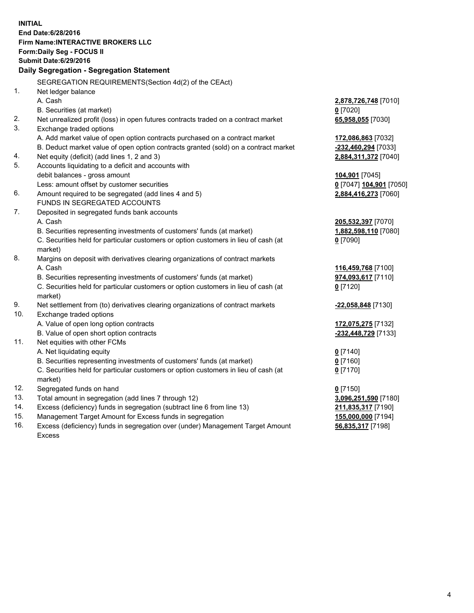**INITIAL End Date:6/28/2016 Firm Name:INTERACTIVE BROKERS LLC Form:Daily Seg - FOCUS II Submit Date:6/29/2016 Daily Segregation - Segregation Statement** SEGREGATION REQUIREMENTS(Section 4d(2) of the CEAct) 1. Net ledger balance A. Cash **2,878,726,748** [7010] B. Securities (at market) **0** [7020] 2. Net unrealized profit (loss) in open futures contracts traded on a contract market **65,958,055** [7030] 3. Exchange traded options A. Add market value of open option contracts purchased on a contract market **172,086,863** [7032] B. Deduct market value of open option contracts granted (sold) on a contract market **-232,460,294** [7033] 4. Net equity (deficit) (add lines 1, 2 and 3) **2,884,311,372** [7040] 5. Accounts liquidating to a deficit and accounts with debit balances - gross amount **104,901** [7045] Less: amount offset by customer securities **0** [7047] **104,901** [7050] 6. Amount required to be segregated (add lines 4 and 5) **2,884,416,273** [7060] FUNDS IN SEGREGATED ACCOUNTS 7. Deposited in segregated funds bank accounts A. Cash **205,532,397** [7070] B. Securities representing investments of customers' funds (at market) **1,882,598,110** [7080] C. Securities held for particular customers or option customers in lieu of cash (at market) **0** [7090] 8. Margins on deposit with derivatives clearing organizations of contract markets A. Cash **116,459,768** [7100] B. Securities representing investments of customers' funds (at market) **974,093,617** [7110] C. Securities held for particular customers or option customers in lieu of cash (at market) **0** [7120] 9. Net settlement from (to) derivatives clearing organizations of contract markets **-22,058,848** [7130] 10. Exchange traded options A. Value of open long option contracts **172,075,275** [7132] B. Value of open short option contracts **-232,448,729** [7133] 11. Net equities with other FCMs A. Net liquidating equity **0** [7140] B. Securities representing investments of customers' funds (at market) **0** [7160] C. Securities held for particular customers or option customers in lieu of cash (at market) **0** [7170] 12. Segregated funds on hand **0** [7150] 13. Total amount in segregation (add lines 7 through 12) **3,096,251,590** [7180] 14. Excess (deficiency) funds in segregation (subtract line 6 from line 13) **211,835,317** [7190] 15. Management Target Amount for Excess funds in segregation **155,000,000** [7194] 16. Excess (deficiency) funds in segregation over (under) Management Target Amount Excess **56,835,317** [7198]